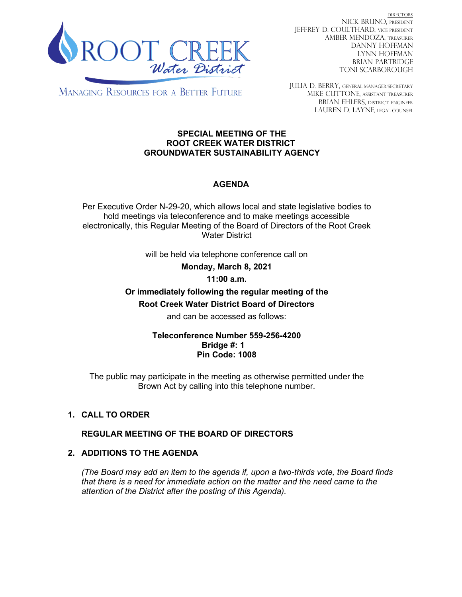

DIRECTORS NICK BRUNO, PRESIDENT JEFFREY D. COULTHARD, Vice President AMBER MENDOZA, TREASURER DANNY HOFFMAN LYNN HOFFMAN BRIAN PARTRIDGE TONI SCARBOROUGH

**MANAGING RESOURCES FOR A BETTER FUTURE** 

JULIA D. BERRY, GENERAL MANAGER/secretary MIKE CUTTONE, Assistant treasurer BRIAN EHLERS, DISTRICT ENGINEER LAUREN D. LAYNE, LEGAL COUNSEL

#### **SPECIAL MEETING OF THE ROOT CREEK WATER DISTRICT GROUNDWATER SUSTAINABILITY AGENCY**

# **AGENDA**

Per Executive Order N-29-20, which allows local and state legislative bodies to hold meetings via teleconference and to make meetings accessible electronically, this Regular Meeting of the Board of Directors of the Root Creek Water District

will be held via telephone conference call on

**Monday, March 8, 2021**

### **11:00 a.m.**

# **Or immediately following the regular meeting of the Root Creek Water District Board of Directors**

and can be accessed as follows:

### **Teleconference Number 559-256-4200 Bridge #: 1 Pin Code: 1008**

The public may participate in the meeting as otherwise permitted under the Brown Act by calling into this telephone number.

## **1. CALL TO ORDER**

## **REGULAR MEETING OF THE BOARD OF DIRECTORS**

## **2. ADDITIONS TO THE AGENDA**

*(The Board may add an item to the agenda if, upon a two-thirds vote, the Board finds that there is a need for immediate action on the matter and the need came to the attention of the District after the posting of this Agenda).*